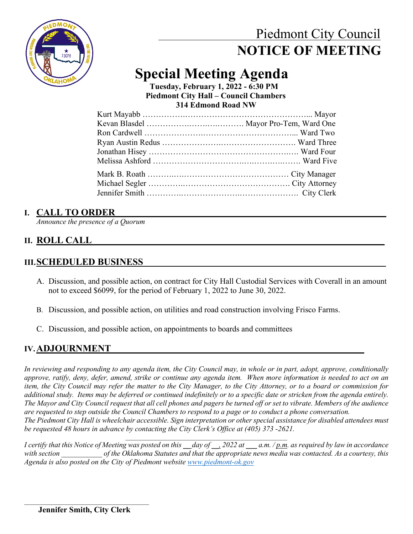

## Piedmont City Council  **NOTICE OF MEETING**

## **Special Meeting Agenda Tuesday, February 1, 2022 - 6:30 PM**

 **Piedmont City Hall – Council Chambers 314 Edmond Road NW**

## **I. CALL TO ORDER**

*Announce the presence of a Quorum*

## **II. ROLL CALL\_\_\_\_\_\_\_\_\_\_\_\_\_\_\_\_\_\_\_\_\_\_\_\_\_\_\_\_\_\_\_\_\_\_\_\_\_\_\_\_\_\_\_\_\_\_\_\_\_\_\_\_\_\_\_\_\_\_\_\_\_\_**

#### **III.SCHEDULED BUSINESS**

- A. Discussion, and possible action, on contract for City Hall Custodial Services with Coverall in an amount not to exceed \$6099, for the period of February 1, 2022 to June 30, 2022.
- B. Discussion, and possible action, on utilities and road construction involving Frisco Farms.
- C. Discussion, and possible action, on appointments to boards and committees

### **IV.ADJOURNMENT \_\_\_\_\_\_**

*In reviewing and responding to any agenda item, the City Council may, in whole or in part, adopt, approve, conditionally approve, ratify, deny, defer, amend, strike or continue any agenda item. When more information is needed to act on an item, the City Council may refer the matter to the City Manager, to the City Attorney, or to a board or commission for additional study. Items may be deferred or continued indefinitely or to a specific date or stricken from the agenda entirely. The Mayor and City Council request that all cell phones and pagers be turned off or set to vibrate. Members of the audience are requested to step outside the Council Chambers to respond to a page or to conduct a phone conversation. The Piedmont City Hall is wheelchair accessible. Sign interpretation or other special assistance for disabled attendees must* 

*be requested 48 hours in advance by contacting the City Clerk's Office at (405) 373 -2621.*   $\mathcal{L}_\text{max}$  and  $\mathcal{L}_\text{max}$  and  $\mathcal{L}_\text{max}$  and  $\mathcal{L}_\text{max}$  and  $\mathcal{L}_\text{max}$ 

*I certify that this Notice of Meeting was posted on this \_\_ day of \_\_, 2022 at \_\_\_ a.m. / p.m. as required by law in accordance with section \_\_\_\_\_\_\_\_\_\_\_ of the Oklahoma Statutes and that the appropriate news media was contacted. As a courtesy, this Agenda is also posted on the City of Piedmont website [www.piedmont-ok.gov](http://www.piedmont-ok.gov/)*